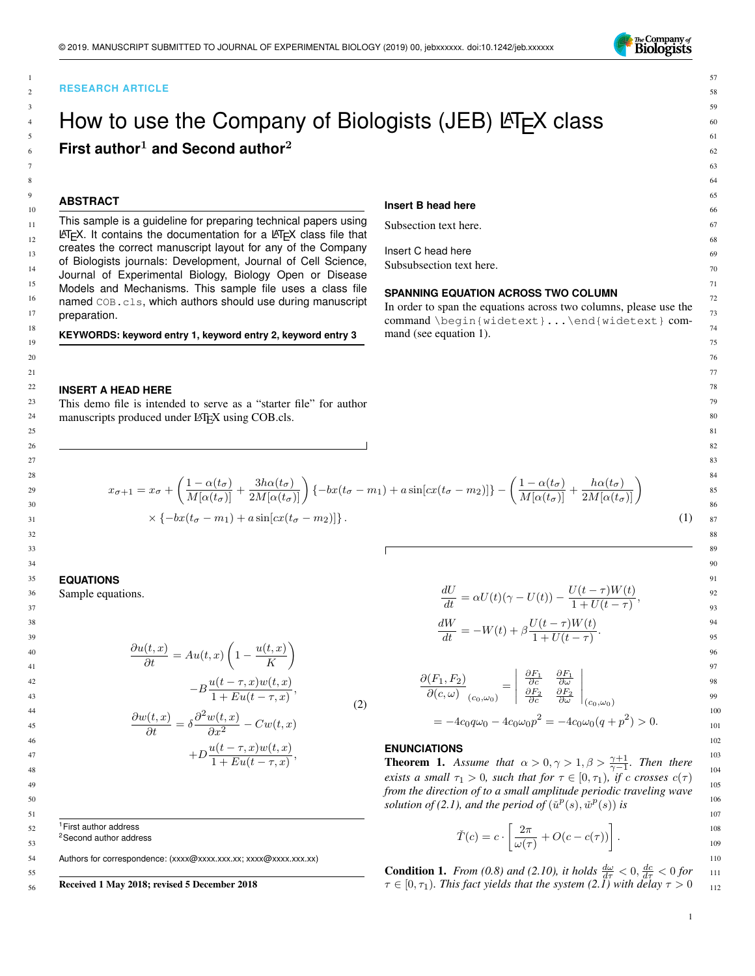

## **RESEARCH ARTICLE**

# How to use the Company of Biologists (JEB)  $\text{ET} \neq X$  class **First author**<sup>1</sup> **and Second author**<sup>2</sup>

# **ABSTRACT**

> This sample is a guideline for preparing technical papers using  $\text{L}$ T<sub>E</sub>X. It contains the documentation for a  $\text{L}$ T<sub>E</sub>X class file that creates the correct manuscript layout for any of the Company of Biologists journals: Development, Journal of Cell Science, Journal of Experimental Biology, Biology Open or Disease Models and Mechanisms. This sample file uses a class file named COB.cls, which authors should use during manuscript preparation.

**KEYWORDS: keyword entry 1, keyword entry 2, keyword entry 3**

#### **Insert B head here**

Insert C head here Subsubsection text here.

#### **SPANNING EQUATION ACROSS TWO COLUMN**

In order to span the equations across two columns, please use the command \begin{widetext}...\end{widetext} command (see equation 1).

#### **INSERT A HEAD HERE**

This demo file is intended to serve as a "starter file" for author manuscripts produced under LATEX using COB.cls.

$$
x_{\sigma+1} = x_{\sigma} + \left(\frac{1 - \alpha(t_{\sigma})}{M[\alpha(t_{\sigma})]} + \frac{3h\alpha(t_{\sigma})}{2M[\alpha(t_{\sigma})]}\right) \{-bx(t_{\sigma} - m_1) + a\sin[cx(t_{\sigma} - m_2)]\} - \left(\frac{1 - \alpha(t_{\sigma})}{M[\alpha(t_{\sigma})]} + \frac{h\alpha(t_{\sigma})}{2M[\alpha(t_{\sigma})]}\right)
$$
  
 
$$
\times \{-bx(t_{\sigma} - m_1) + a\sin[cx(t_{\sigma} - m_2)]\}.
$$
 (1)

# **EQUATIONS**

Sample equations.

 $\frac{\partial u(t,x)}{\partial t} = Au(t,x) \left(1 - \frac{u(t,x)}{K}\right)$ K  $\setminus$  $-B\frac{u(t-\tau,x)w(t,x)}{1+\sum_{i=1}^{n}u(t-x)}$  $\frac{u(t-\tau,x)w(t,x)}{1+Eu(t-\tau,x)},$  $\frac{\partial w(t,x)}{\partial t} = \delta \frac{\partial^2 w(t,x)}{\partial x^2} - Cw(t,x)$ (2)

$$
\sigma x
$$
\n
$$
+D\frac{u(t-\tau,x)w(t,x)}{1+Eu(t-\tau,x)},
$$

 $\frac{dU}{dt} = \alpha U(t)(\gamma - U(t)) - \frac{U(t-\tau)W(t)}{1+U(t-\tau)}$  $\frac{1+U(t-\tau)}{1+U(t-\tau)},$  $\frac{dW}{dt} = -W(t) + \beta \frac{U(t-\tau)W(t)}{1+U(t-\tau)}$  $\frac{1+U(t-\tau)}{1+U(t-\tau)}.$ 

$$
\frac{\partial(F_1, F_2)}{\partial(c, \omega)}_{(c_0, \omega_0)} = \begin{vmatrix} \frac{\partial F_1}{\partial c} & \frac{\partial F_1}{\partial \omega} \\ \frac{\partial F_2}{\partial c} & \frac{\partial F_2}{\partial \omega} \end{vmatrix}_{(c_0, \omega_0)}
$$

$$
= -4c_0 q \omega_0 - 4c_0 \omega_0 p^2 = -4c_0 \omega_0 (q + p^2) > 0.
$$

# **ENUNCIATIONS**

**Theorem 1.** Assume that  $\alpha > 0, \gamma > 1, \beta > \frac{\gamma+1}{\gamma-1}$ . Then there *exists a small*  $\tau_1 > 0$ *, such that for*  $\tau \in [0, \tau_1)$ *, if* c crosses  $c(\tau)$ *from the direction of to a small amplitude periodic traveling wave* solution of (2.1), and the period of  $(\check{u}^p(s), \check{w}^p(s))$  is

$$
\check{T}(c) = c \cdot \left[ \frac{2\pi}{\omega(\tau)} + O(c - c(\tau)) \right].
$$

**Condition 1.** *From* (0.8) and (2.10), it holds  $\frac{d\omega}{d\tau} < 0$ ,  $\frac{dc}{d\tau} < 0$  for  $\tau \in [0, \tau_1)$ *. This fact yields that the system (2.1) with delay*  $\tau > 0$ 

Authors for correspondence: (xxxx@xxxx.xxx.xx; xxxx@xxxx.xxx.xx)

<sup>1</sup> First author address <sup>2</sup>Second author address

55 56

#### Received 1 May 2018; revised 5 December 2018